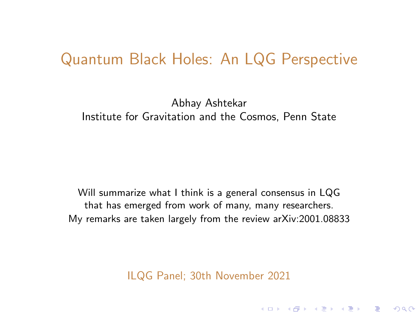### <span id="page-0-0"></span>Quantum Black Holes: An LQG Perspective

Abhay Ashtekar Institute for Gravitation and the Cosmos, Penn State

Will summarize what I think is a general consensus in LQG that has emerged from work of many, many researchers. My remarks are taken largely from the review arXiv:2001.08833

ILQG Panel; 30th November 2021

K ロ ▶ K @ ▶ K 할 ▶ K 할 ▶ 이 할 → 900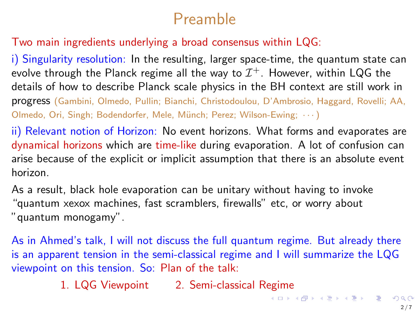## Preamble

#### Two main ingredients underlying a broad consensus within LQG:

i) Singularity resolution: In the resulting, larger space-time, the quantum state can evolve through the Planck regime all the way to  $\mathcal{I}^+$ . However, within LQG the details of how to describe Planck scale physics in the BH context are still work in progress (Gambini, Olmedo, Pullin; Bianchi, Christodoulou, D'Ambrosio, Haggard, Rovelli; AA, Olmedo, Ori, Singh; Bodendorfer, Mele, Münch; Perez; Wilson-Ewing;  $\cdots$ )

ii) Relevant notion of Horizon: No event horizons. What forms and evaporates are dynamical horizons which are time-like during evaporation. A lot of confusion can arise because of the explicit or implicit assumption that there is an absolute event horizon.

As a result, black hole evaporation can be unitary without having to invoke "quantum xexox machines, fast scramblers, firewalls" etc, or worry about "quantum monogamy".

As in Ahmed's talk, I will not discuss the full quantum regime. But already there is an apparent tension in the semi-classical regime and I will summarize the LQG viewpoint on this tension. So: Plan of the talk:

1. LQG Viewpoint 2. Semi-classical Regime

イロト 不優 トイミト イミト 一番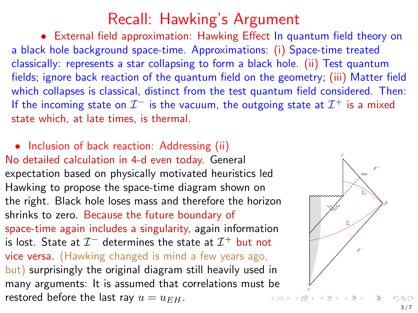## Recall: Hawking's Argument

• External field approximation: Hawking Effect In quantum field theory on a black hole background space-time. Approximations: (i) Space-time treated classically: represents a star collapsing to form a black hole. (ii) Test quantum fields; ignore back reaction of the quantum field on the geometry; (iii) Matter field which collapses is classical, distinct from the test quantum field considered. Then: If the incoming state on  $\mathcal{I}^-$  is the vacuum, the outgoing state at  $\mathcal{I}^+$  is a mixed state which, at late times, is thermal.

• Inclusion of back reaction: Addressing (ii) No detailed calculation in 4-d even today. General expectation based on physically motivated heuristics led Hawking to propose the space-time diagram shown on the right. Black hole loses mass and therefore the horizon shrinks to zero. Because the future boundary of space-time again includes a singularity, again information is lost. State at  $\mathcal{I}^-$  determines the state at  $\mathcal{I}^+$  but not vice versa. (Hawking changed is mind a few years ago, but) surprisingly the original diagram still heavily used in many arguments: It is assumed that correlations must be restored before the last ray  $u = u_{EH}$ .

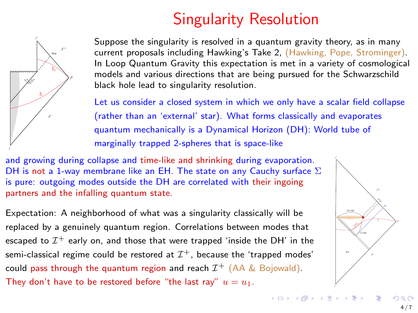# Singularity Resolution

<span id="page-3-0"></span>

Suppose the singularity is resolved in a quantum gravity theory, as in many current proposals including Hawking's Take 2, (Hawking, Pope, Strominger). In Loop Quantum Gravity this expectation is met in a variety of cosmological models and various directions that are being pursued for the Schwarzschild black hole lead to singularity resolution.

Let us consider a closed system in which we only have a scalar field collapse (rather than an 'external' star). What forms classically and evaporates quantum mechanically is a Dynamical Horizon (DH): World tube of marginally trapped 2-spheres that is space-like

and growing during collapse and time-like and shrinking during evaporation. DH is not a 1-way membrane like an EH. The state on any Cauchy surface  $\Sigma$ is pure: outgoing modes outside the DH are correlated with their ingoing partners and the infalling quantum state.

Expectation: A neighborhood of what was a singularity classically will be replaced by a genuinely quantum region. Correlations between modes that escaped to  $\mathcal{I}^+$  early on, and those that were trapped 'inside the DH' in the semi-classical regime could be restored at  $\mathcal{I}^+$ , because the 'trapped modes' could pass through the quantum region and reach  $\mathcal{I}^+$  (AA & Bojowald). They don't have to be restored before "the last ray"  $u = u_1$ .

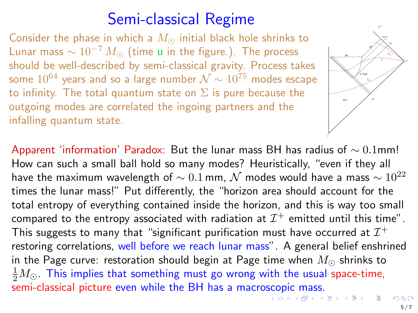## Semi-classical Regime

<span id="page-4-0"></span>Consider the phase in which a  $M_{\odot}$  initial black hole shrinks to Lunar mass  $\sim 10^{-7} M_{\odot}$  (time u in the figure.). The process should be well-described by semi-classical gravity. Process takes some  $10^{64}$  years and so a large number  $\mathcal{N} \sim 10^{75}$  modes escape to infinity. The total quantum state on  $\Sigma$  is pure because the outgoing modes are correlated the ingoing partners and the infalling quantum state.



Apparent 'information' Paradox: But the lunar mass BH has radius of  $\sim 0.1$ mm! How can such a small ball hold so many modes? Heuristically, "even if they all have the maximum wavelength of  $\sim 0.1$  mm,  $\cal N$  modes would have a mass  $\sim 10^{22}$ times the lunar mass!" Put differently, the "horizon area should account for the total entropy of everything contained inside the horizon, and this is way too small compared to the entropy associated with radiation at  $\mathcal{I}^+$  emitted until this time". This suggests to many that "significant purification must have occurred at  $\mathcal{I}^+$ restoring correlations, well before we reach lunar mass". A general belief enshrined in the Page curve: restoration should begin at Page time when  $M_{\odot}$  shrinks to  $\frac{1}{2}M_{\odot}$  . This implies that something must go wrong with the usual space-time, semi-classical picture even while the BH has a macro[sco](#page-3-0)[pic](#page-5-0)[ma](#page-4-0)[s](#page-5-0)[s.](#page-0-0)<br>Example a set of the set of the set of the set of the set of the set of the set of the set of the set of the s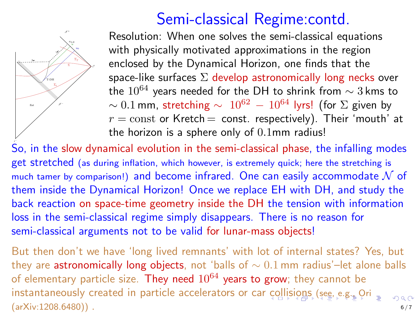## Semi-classical Regime:contd.

<span id="page-5-0"></span>

Resolution: When one solves the semi-classical equations with physically motivated approximations in the region enclosed by the Dynamical Horizon, one finds that the space-like surfaces  $\Sigma$  develop astronomically long necks over the  $10^{64}$  years needed for the DH to shrink from  $\sim$  3 kms to  $\sim 0.1$  mm, stretching  $\sim 10^{62} - 10^{64}$  lyrs! (for  $\Sigma$  given by  $r =$  const or Kretch = const. respectively). Their 'mouth' at the horizon is a sphere only of 0.1mm radius!

.<br>So, in the slow dynamical evolution in the semi-classical phase, the infalling modes get stretched (as during inflation, which however, is extremely quick; here the stretching is much tamer by comparison!) and become infrared. One can easily accommodate  $\mathcal N$  of them inside the Dynamical Horizon! Once we replace EH with DH, and study the back reaction on space-time geometry inside the DH the tension with information loss in the semi-classical regime simply disappears. There is no reason for semi-classical arguments not to be valid for lunar-mass objects!

But then don't we have 'long lived remnants' with lot of internal states? Yes, but they are astronomically long objects, not 'balls of  $\sim 0.1$  mm radius'–let alone balls of elementary particle size. They need  $10^{64}$  years to grow; they cannot be instantaneously created in particle accelerators or car [co](#page-4-0)l[lis](#page-6-0)[io](#page-4-0)[ns](#page-5-0) [\(se](#page-0-0)[e, e](#page-6-0)[.g.](#page-0-0)[, O](#page-6-0)[ri](#page-0-0)  $(a\text{rXiv}:1208.6480)$ ).